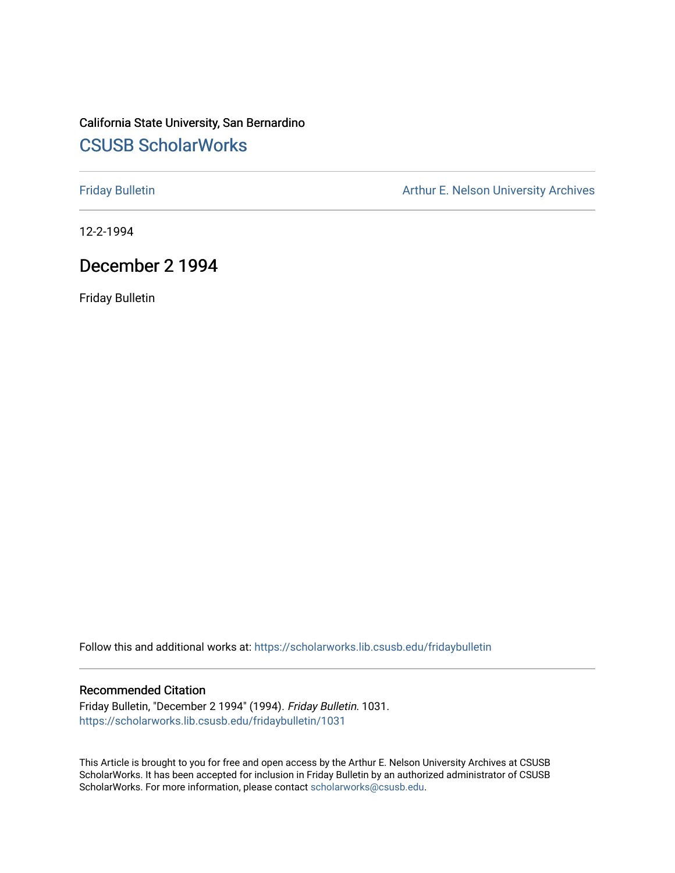## California State University, San Bernardino [CSUSB ScholarWorks](https://scholarworks.lib.csusb.edu/)

[Friday Bulletin](https://scholarworks.lib.csusb.edu/fridaybulletin) **Arthur E. Nelson University Archives** Arthur E. Nelson University Archives

12-2-1994

## December 2 1994

Friday Bulletin

Follow this and additional works at: [https://scholarworks.lib.csusb.edu/fridaybulletin](https://scholarworks.lib.csusb.edu/fridaybulletin?utm_source=scholarworks.lib.csusb.edu%2Ffridaybulletin%2F1031&utm_medium=PDF&utm_campaign=PDFCoverPages)

#### Recommended Citation

Friday Bulletin, "December 2 1994" (1994). Friday Bulletin. 1031. [https://scholarworks.lib.csusb.edu/fridaybulletin/1031](https://scholarworks.lib.csusb.edu/fridaybulletin/1031?utm_source=scholarworks.lib.csusb.edu%2Ffridaybulletin%2F1031&utm_medium=PDF&utm_campaign=PDFCoverPages) 

This Article is brought to you for free and open access by the Arthur E. Nelson University Archives at CSUSB ScholarWorks. It has been accepted for inclusion in Friday Bulletin by an authorized administrator of CSUSB ScholarWorks. For more information, please contact [scholarworks@csusb.edu.](mailto:scholarworks@csusb.edu)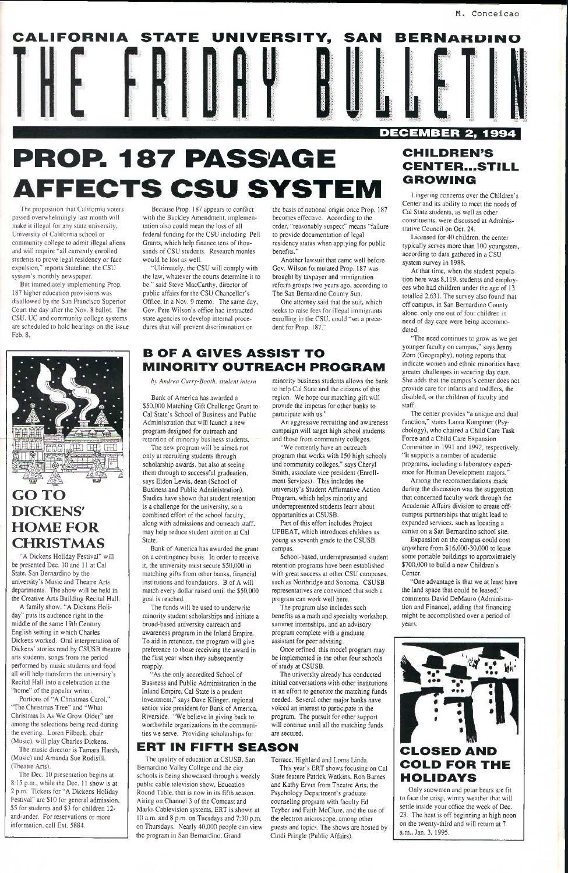# **PROP. 187 PASSAGE**  AFFECTS CSU SYSTEM

The proposition that California voters passed overwhelmingly last month will make it illegal for any state university. University of California school or community college to admit illegal aliens and will require "all currently enrolled students to prove legal residency or face expulsion," reports Stateline, the CSU system's monthly newspaper.

But immediately implementing Prop. 187 higher education provisions was disallowed by the San Francisco Superior Court the day after the Nov. 8 ballot. The CSU, UC and community college systems are scheduled to hold hearings on the issue Feb. 8.



# **HOME FOR CHRISTMAS**

"A Dickens Holiday Festival" will be presented Dec. 10 and 11 at Cal State, San Bernardino by the university's Music and Theatre Arts departments. The show will be held in the Creative Arts Building Recital Hall. A family show, "A Dickens Holi-

Because Prop. 187 appears to conflict with the Buckley Amendment, implementation also could mean the loss of all federal funding for the CSU including Pell Grants, which help finance tens of thousands of CSU students. Research monies would be lost as well.

day" puts its audience right in the middle of the same 19th Century English setting in which Charles Dickens worked. Oral interpretation of Dickens' stories read by CSUSB theatre arts students, songs from the period petformed by music students and food all will help transform the university's Recital Hall into a celebration at the "home" of the popular writer. Portions of "A Christmas Carol," "The Christmas Tree" and "What Christmas Is As We Grow Older" are among the selections being read during the evening. Loren Filbeck, chair (Music), will play Charles Dickens. The music director is Tamara Harsh, (Music) and Amanda Sue Rudisill. (Theatre Arts). The Dec. 10 presentation begins at 8:15 p.m., while the Dec. 11 show is at 2 p.m. Tickets for "A Dickens Holiday Festival" are \$10 for general admission, \$5 for students and \$3 for children 12 and-under. For reservations or more information, call Ext. 5884.

Bank of America has awarded a \$50,000 Matching Gift Challenge Grant to Cal State's School of Business and Public Administration that will launch a new program designed for outreach and retention of minority business students.

"Ultimately, the CSU will comply with the law, whatever the courts determine it to be," said Steve MacCarthy, director of public affairs for the CSU Chancellor's Office, in a Nov. 9 memo. The same day. Gov. Pete Wilson's office had instructed state agencies to develop internal procedures that will prevent discrimination on

the basis of national origin once Prop. 187 becomes effective. According to the order, "reasonably suspect" means "failure to provide documentation of legal residency status when applying for public benefits."

"We currently have an outreach program that works with 150 high schools and community colleges," says Cheryl Smith, associate vice president (Enrollment Services). This includes the university's Student Affirmative Action Program, which helps minority and underrepresented students learn about opportunities at CSUSB.

Another lawsuit that came well before Gov. Wilson formulated Prop. 187 was brought by taxpayer and immigration reform groups two years ago, according to The San Bernardino County Sun.

School-based, underrepresented student retention programs have been established with great success at other CSU campuses, such as Northridge and Sonoma. CSUSB representatives are convinced that such a program can work well here.

One attorney said that the suit, which seeks to raise fees for illegal immigrants enrolling in the CSU, could "set a precedent for Prop. 187."

The university already has conducted initial conversations with other institutions in an effort to generate the matching funds needed. Several other major banks have voiced an interest to participate in the program. The pursuit for other support will continue until all the matching funds

## **B OF A GIVES ASSIST TO MINORITY OUTREACH PROGRAM**

*by Andrea Curry-Booth, student intern* 

|  | CALIFORNIA STATE UNIVERSITY, |  |  |  | SAN |  | <b>BERNARDINO</b>       |  |  |
|--|------------------------------|--|--|--|-----|--|-------------------------|--|--|
|  |                              |  |  |  |     |  |                         |  |  |
|  |                              |  |  |  |     |  | <b>DECEMBER 2, 1994</b> |  |  |
|  |                              |  |  |  |     |  |                         |  |  |

Licensed for 40 children, the center typically serves more than 100 youngsters, according to data gathered in a CSU system survey in 1988.

The new program will be aimed not only at recruiting students through scholarship awards, but also at seeing them through to successful graduation, says Eldon Lewis, dean (School of Business and Public Administration). Studies have shown that student retention is a challenge for the university, so a combined effort of the school faculty, along with admissions and outreach staff, may help reduce student attrition at Cal State.

Bank of America has awarded the grant on a contingency basis. In order to receive it, the university must secure \$50,000 in matching gifts from other banks, financial institutions and foundations. B of A will match every dollar raised until the \$50,000 goal is reached.

The quality of education at CSUSB, San Bernardino Valley College and the city schools is being showcased through a weekly public cable television show, Education Round Table, that is now in its fifth season. Airing on Channel 3 of the Comcast and Marks Cablevision systems, ERT is shown at 10 a.m. and 8 p.m. on Tuesdays and 7:30 p.m. on Thursdays. Nearly 40,000 people can view the program in San Bernardino, Grand

The funds will be used to underwrite minority student scholarships and initiate a broad-based university outreach and awareness program in the Inland Empire. To aid in retention, the program will give preference to those receiving the award in the first year when they subsequently reapply. "As the only accredited School of Business and Public Administration in the Inland Empire, Cal State is a prudent investment," says Dave Klinger, regional senior vice president for Bank of America, Riverside. "We believe in giving back to worthwhile organizations in the communities we serve. Providing scholarships for

> Terrace, Highland and Loma Linda. This year's ERT shows focusing on Cal State feature Patrick Watkins, Ron Barnes and Kathy Ervin from Theatre Aits; the Psychology Department's graduate counseling program with faculty Ed Teyber and Faith McCIure, and the use of the electron microscope, among other guests and topics. The shows are hosted by Cindi Pringle (Public Affairs).

> minority business students allows the bank to help Cal State and the citizens of this region. We hope our matching gift will provide the impetus for other banks to participate with us."

> An aggressive recruiting and awareness campaign will target high school students and those from community colleges.

Part of this effort includes Project UPBEAT, which introduces children as young as seventh grade to the CSUSB campus.

The program also includes such benefits as a math and specialty workshop, summer internships, and an advisory program complete with a graduate assistant for peer advising.

Once refined, this model program may

be implemented in the other four schools

of study at CSUSB.

are secured.

## **CHILDREN'S CENTER...STILL GROWING**

Lingering concerns over the Children's Center and its ability to meet the needs of Cal State students, as well as other constituents, were discussed at Administrative Council on Oct. 24.

At that time, when the student population here was 8,119, students and employees who had children under the age of 13 totalled 2,631. The survey also found that off campus, in San Bernardino County alone, only one out of four children in need of day care were being accommodated.

"The need continues to grow as we get younger faculty on campus," says Jenny Zorn (Geography), noting reports that indicate women and ethnic minorities have greater challenges in securing day care. She adds that the campus's center does not provide care for infants and toddlers, the disabled, or the children of faculty and staff.

The center provides "a unique and dual function," states Laura Kamptner (Psychology), who chaired a Child Care Task Force and a Child Care Expansion Committee in 1991 and 1992, respectively. "It supports a number of academic programs, including a laboratory experience for Human Development majors."

Among the recommendations made during the discussion was the suggestion that concerned faculty work through the Academic Affairs division to create offcampus partnerships that might lead to expanded services, such as locating a center on a San Bernardino school site.

Expansion on the campus could cost anywhere from \$16,000-30,000 to lease some portable buildings to approximately \$700,000 to build a new Children's Center.

"One advantage is that we at least have the land space that could be leased,'" comments David DeMauro (Administration and Finance), adding that financing might be accomplished over a period of years.



## **ERT IN FIFTH SEASON**



## **COLD FOR THE HOLIDAYS**

Only snowmen and polar bears are fit to face the crisp, wintry weather that will settle inside your office the week of Dec. 23. The heat is off beginning at high noon on the twenty-third and will return at 7 a.m., Jan. 3, 1995.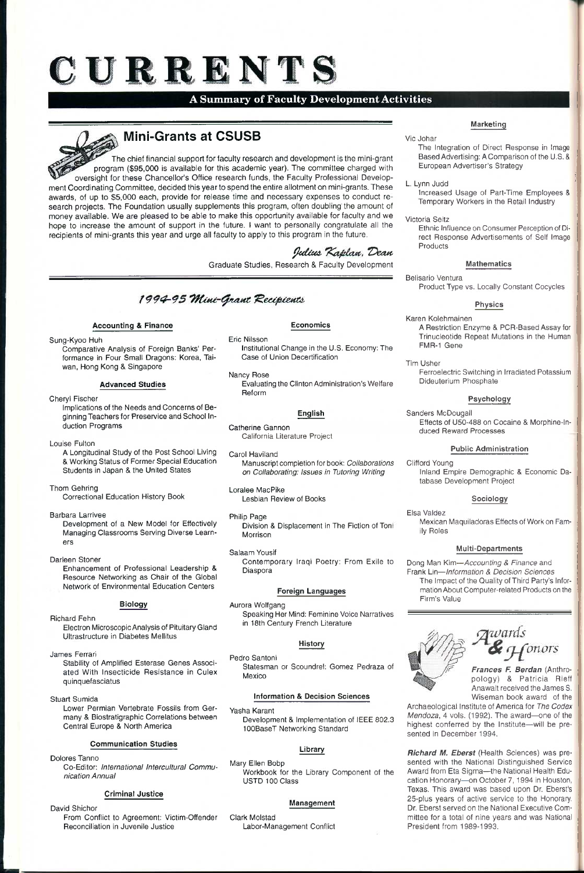# ${\bf C}$  URRENTS

## **A Summary of Faculty Development Activities**

## **Mini-Grants at CSUSB**

The chief financial support for faculty research and development is the mini-grant program (\$95,000 is available for this academic year). The committee charged with oversight for these Chancellor's Office research funds, the Faculty Professional Development Coordinating Committee, decided this year to spend the entire allotment on mini-grants. These awards, of up to \$5,000 each, provide for release time and necessary expenses to conduct research projects. The Foundation usually supplements this program, often doubling the amount of money available. We are pleased to be able to make this opportunity available for faculty and we hope to increase the amount of support in the future. I want to personally congratulate all the recipients of mini-grants this year and urge all faculty to apply to this program in the future.

## Julius Kaplan. Dean

Graduate Studies, Research & Faculty Development

## 1994-95 Mini-Grant Recipients

#### **Accounting & Finance**

#### Sung-Kyoo Huh

Comparative Analysis of Foreign Banks' Performance in Four Small Dragons: Korea, Taiwan, Hong Kong & Singapore

#### **Advanced Studies**

### Cheryl Fischer

Implications of the Needs and Concerns of Beginning Teachers for Preservice and School Induction Programs

#### Louise Fulton

A Longitudinal Study of the Post School Living & Working Status of Former Special Education Students in Japan & the United States

#### Thom Gehring

Correctional Education History Book

#### Barbara Larrivee

Development of a New Model for Effectively Managing Classrooms Serving Diverse Learners

#### Darleen Stoner

Enhancement of Professional Leadership & Resource Networking as Chair of the Global Network of Environmental Education Centers

#### **Biology**

#### Richard Fehn

Electron Microscopic Analysis of Pituitary Gland Ultrastructure in Diabetes Mellitus

James Ferrari

Stability of Amplified Esterase Genes Associated With Insecticide Resistance in Culex quinquefasciatus

#### Stuart Sumida

Lower Permian Vertebrate Fossils from Germany & Blostratigraphic Correlations between Central Europe & North America

#### **Communication Studies**

Dolores Tanno

Co-Editor: *International Intercultural Communication Annual* 

#### **Criminal Justice**

David Shichor

From Conflict to Agreement: Victim-Offender Reconciliation in Juvenile Justice

Archaeological Institute of America for *The Codex Mendoza,* 4 vols. (1992). The award—one of the highest conferred by the Institute—will be presented in December 1994.

#### **Economics**

#### Eric Nilsson

Institutional Change in the U.S. Economy: The Case of Union Decertification

#### Nancy Rose

Evaluating the Clinton Administration's Welfare Reform

#### **English**

Catherine Gannon

California Literature Project

#### Carol Haviland

Manuscript completion for book: *Collaborations on Collaborating: Issues in Tutoring Writing* 

#### Loralee MacPike Lesbian Review of Books

- Philip Page Division & Displacement in The Fiction of Tont Morrison
- Salaam Yousif Contemporary Iraqi Poetry: From Exile to Diaspora

#### **Foreign Languages**

Aurora Wolfgang

Speaking Her Mind: Feminine Voice Narratives in 18th Century French Literature

#### **History**

Pedro Santoni

Statesman or Scoundrel: Gomez Pedraza of Mexico

#### **Information & Decision Sciences**

Yasha Karant

Development & Implementation of IEEE 802.3 100BaseT Networking Standard

#### **Library**

Mary Ellen Bobp Workbook for the Library Component of the USTD 100 Class

#### **Management**

Clark Molstad Labor-Management Conflict

#### **Marketing**

#### Vic Johar

- The Integration of Direct Response in Image Based Advertising: A Comparison of the U.S. & European Advertiser's Strategy
- L. Lynn Judd

Increased Usage of Part-Time Employees & Temporary Workers in the Retail Industry

#### Victoria Seitz

Ethnic Influence on Consumer Perception of Direct Response Advertisements of Self Image Products

#### **Mathematics**

Belisario Ventura Product Type vs. Locally Constant Cocycles

#### **Physics**

#### Karen Kolehmainen

A Restriction Enzyme & PCR-Based Assay for Trinucleotide Repeat Mutations in the Human FMR-1 Gene

Tim Usher Ferroelectric Switching in Irradiated Potassium Dideuterium Phosphate

#### **Psychology**

Sanders McDougall Effects of U50-488 on Cocaine & Morphine-Induced Reward Processes

#### **Public Administration**

Clifford Young Inland Empire Demographic & Economic Database Development Project

#### **Sociology**

Elsa Valdez Mexican Maquiladoras Effects of Work on Family Roles

#### **Multi-Departments**

Dong Man Kim—*Accounting & Finance* and Frank Lin—*Information & Decision Sciences*  The Impact of the Quality of Third Party's Information About Computer-related Products on the Firm's Value



1^. *Frances F. Berdan* (Anthropology) & Patricia RIeff Anawalt received the James S. Wiseman book award of the

*Richard M. Eberst* (Health Sciences) was presented with the National Distinguished Service Award from Eta Sigma—the National Health Education Honorary—on October 7,1994 in Houston, Texas. This award was based upon Dr. Eberst's 25-plus years of active service to the Honorary. Dr. Eberst served on the National Executive Committee for a total of nine years and was National President from 1989-1993.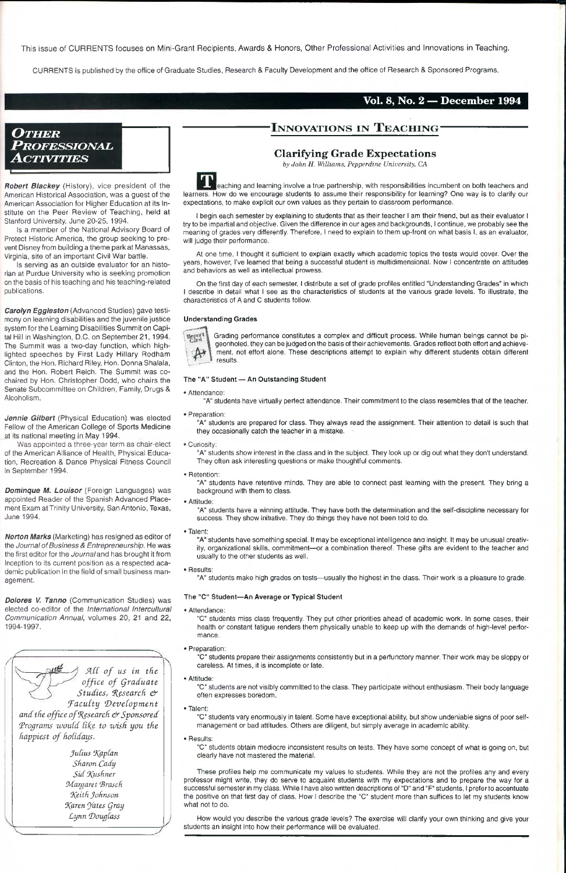This issue of CURRENTS focuses on Mini-Grant Recipients, Awards & Honors, Other Professional Activities and Innovations in Teaching.

CURRENTS is published by the office of Graduate Studies, Research & Faculty Development and the office of Research & Sponsored Programs.

#### **Vol. 8, No. 2 — December 1994**

## *OTHER PROFESSIONAL ACTIVITIES*

## **•INNOVATIONS IN TEACHING**

*Robert Blackey* (History), vice president of the American Historical Association, was a guest of the American Association for Higher Education at its Institute on the Peer Review of Teaching, held at Stanford University, June 20-25, 1994.

Is a member of the National Advisory Board of Protect Historic America, the group seeking to prevent Disney from building a theme park at Manassas, Virginia, site of an important Civil War battle.

Is serving as an outside evaluator for an historian at Purdue University who is seeking promotion on the basis of his teaching and his teaching-related publications.

*ACC of us in the*   $offset$  of Graduate *Studies, Research & J^acuCty (DeveCopment and the office of Research & Sponsored* Programs would like to wish you the *happiest of holidays.* 

*Carolyn Eggleston* (Advanced Studies) gave testimony on learning disabilities and the juvenile justice system for the Learning Disabilities Summit on Capital Hill in Washington, D.C. on September 21,1994. The Summit was a two-day function, which highlighted speeches by First Lady Hillary Rodham Clinton, the Hon. Richard Riley, Hon. Donna Shalala, and the Hon. Robert Reich. The Summit was cochaired by Hon. Christopher Dodd, who chairs the Senate Subcommittee on Children, Family, Drugs & Alcoholism.

> Julius *Kaplan Sharon Cady Sid J(ushmr fMargaret 'Brasch f}(eith Johnson 9(aren 'Jates Qray Lynn Doug(ass*

I begin each semester by explaining to students that as their teacher I am their friend, buf as their evaluator 1 try to be impartial and objective, Given the difference in our ages and backgrounds, I continue, we probably see the meaning of grades very differently. Therefore, i need to explain to them up-front on what basis I, as an evaluator, will judge their performance.

*Jennie Gilbert* (Physical Education) was elected Fellow of the American College of Sports Medicine at its national meeting in May 1994.

Was appointed a three-year term as chair-elect of the American Alliance of Health, Physical Education, Recreation & Dance Physical Fitness Council in September 1994.

*Dominque M. Louisor* (Foreign Languages) was appointed Reader of the Spanish Advanced Placement Exam at Trinity University, San Antonio, Texas, June 1994.

*Norton Marks* (Marketing) has resigned as editor of the *Journal of Business & Entrepreneurshlp.* He was the first editor for the *Journal and* has brought it from Inception to its current position as a respected academic publication in the field of small business management.

*Dolores V. Tanno* (Communication Studies) was elected co-editor of the *International Intercultural Communication Annual,* volumes 20, 21 and 22, 1994-1997.

"A" students show interest in the class and In the subject. They look up or dig out what they don't understand. They often ask interesting questions or make thoughtful comments.

#### **Clarifying Grade Expectations**

*by John H. Williams, Pepperdine University, CA* 

leaching and learning involve a true partnership, with responsibilities incumbent on both teachers and learners. How do we encourage students to assume their responsibility for learning? One way is to clarify our expectations, to make explicit our own values as they pertain to classroom performance.

"C" students miss class frequently. They put other priorities ahead of academic work. In some cases, their health or constant fatigue renders them physically unable to keep up with the demands of high-level performance.

How would you describe the various grade levels? The exercise will clarify your own thinking and give your students an insight into how their performance will be evaluated.

At one time, I thought it sufficient to explain exactly which academic topics the tests would cover. Over the years, however, I've learned that being a successful student is multidimensional. Now 1 concentrate on attitudes and behaviors as well as intellectual prowess.

On the first day of each semester, I distribute a set of grade profiles entitled "Understanding Grades" in which I describe in detail what I see as the characteristics of students at the various grade levels. To illustrate, the characteristics of A and C students follow.

#### **Understanding Grades**



Grading performance constitutes a complex and difficult process. While human beings cannot be pigeonholed, they can be judged on the basis of their achievements. Grades reflect both effort and achievement, not effort alone. These descriptions attempt to explain why different students obtain different results.

#### **The "A" Student — An Outstanding Student**

• Attendance;

"A" students have virtually perfect attendance. Their commitment to the class resembles that of the teacher.

• Preparation:

"A" students are prepared for class. They always read the assignment. Their attention to detail is such that they occasionally catch the teacher in a mistake.

• Curiosity;

• Retention:

"A" students have retentive minds. They are able to connect past learning with the present. They bring a background with them to class.

• Attitude:

"A" students have a winning attitude. They have both the determination and the self-discipline necessary for success. They show initiative. They do things they have not been told to do.

• Talent:

"A" students have something special. It may be exceptional intelligence ana insight. It may be unusual creativity, organizational skills, commitment—or a combination thereof. These gifts are evident to the teacher and usually to the other students as well.

• Results:

"A" students make high grades on tests—usually the highest in the class. Their work is a pleasure to grade.

#### **The "C' Student—An Average or Typical Student**

• Attendance:

• Preparation:

"C" students prepare their assignments consistently but in a perfunctory manner. Their work may be sloppy or careless. At times, it is incomplete or late.

• Attitude:

"C" students are not visibly committed to the class. They participate without enthusiasm. Their body language often expresses boredom.

• Talent:

"C" students vary enormously in talent. Some have exceptional ability, but show undeniable signs of poor selfmanagement or bad attitudes. Others are diligent, but simply average in academic ability.

• Results:

"C" students obtain mediocre inconsistent results on tests. They have some concept of what is going on, but clearly have not mastered the material.

These profiles help me communicate my values to students. While they are not the profiles any and every professor might write, they do serve to acquaint students with my expectations and to prepare the way for a successful semester in my class. While I have also written descriptions of "D" and "F" students, I prefer to accentuate the positive on that first day of class. How I describe the "C" student more than suffices to let my students know what not to do.